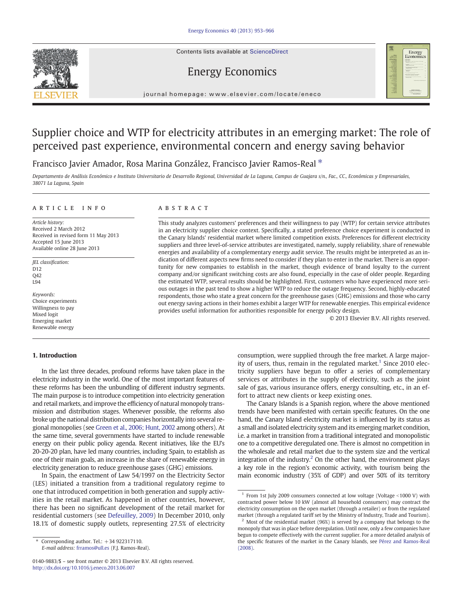Contents lists available at ScienceDirect



# Energy Economics

journal homepage: www.elsevier.com/locate/eneco

# Supplier choice and WTP for electricity attributes in an emerging market: The role of perceived past experience, environmental concern and energy saving behavior

## Francisco Javier Amador, Rosa Marina González, Francisco Javier Ramos-Real \*

Departamento de Análisis Económico e Instituto Universitario de Desarrollo Regional, Universidad de La Laguna, Campus de Guajara s/n., Fac., CC., Económicas y Empresariales, 38071 La Laguna, Spain

#### article info abstract

Article history: Received 2 March 2012 Received in revised form 11 May 2013 Accepted 15 June 2013 Available online 28 June 2013

JEL classification: D<sub>12</sub>  $O<sub>42</sub>$ L94

Keywords: Choice experiments Willingness to pay Mixed logit Emerging market Renewable energy

## 1. Introduction

In the last three decades, profound reforms have taken place in the electricity industry in the world. One of the most important features of these reforms has been the unbundling of different industry segments. The main purpose is to introduce competition into electricity generation and retail markets, and improve the efficiency of natural monopoly transmission and distribution stages. Whenever possible, the reforms also broke up the national distribution companies horizontally into several regional monopolies (see [Green et al., 2006; Hunt, 2002](#page--1-0) among others). At the same time, several governments have started to include renewable energy on their public policy agenda. Recent initiatives, like the EU's 20-20-20 plan, have led many countries, including Spain, to establish as one of their main goals, an increase in the share of renewable energy in electricity generation to reduce greenhouse gases (GHG) emissions.

In Spain, the enactment of Law 54/1997 on the Electricity Sector (LES) initiated a transition from a traditional regulatory regime to one that introduced competition in both generation and supply activities in the retail market. As happened in other countries, however, there has been no significant development of the retail market for residential customers (see [Defeuilley, 2009](#page--1-0)) In December 2010, only 18.1% of domestic supply outlets, representing 27.5% of electricity

This study analyzes customers' preferences and their willingness to pay (WTP) for certain service attributes in an electricity supplier choice context. Specifically, a stated preference choice experiment is conducted in the Canary Islands' residential market where limited competition exists. Preferences for different electricity suppliers and three level-of-service attributes are investigated, namely, supply reliability, share of renewable energies and availability of a complementary energy audit service. The results might be interpreted as an indication of different aspects new firms need to consider if they plan to enter in the market. There is an opportunity for new companies to establish in the market, though evidence of brand loyalty to the current company and/or significant switching costs are also found, especially in the case of older people. Regarding the estimated WTP, several results should be highlighted. First, customers who have experienced more serious outages in the past tend to show a higher WTP to reduce the outage frequency. Second, highly-educated respondents, those who state a great concern for the greenhouse gases (GHG) emissions and those who carry out energy saving actions in their homes exhibit a larger WTP for renewable energies. This empirical evidence provides useful information for authorities responsible for energy policy design.

© 2013 Elsevier B.V. All rights reserved.

consumption, were supplied through the free market. A large majority of users, thus, remain in the regulated market.<sup>1</sup> Since 2010 electricity suppliers have begun to offer a series of complementary services or attributes in the supply of electricity, such as the joint sale of gas, various insurance offers, energy consulting, etc., in an effort to attract new clients or keep existing ones.

The Canary Islands is a Spanish region, where the above mentioned trends have been manifested with certain specific features. On the one hand, the Canary Island electricity market is influenced by its status as a small and isolated electricity system and its emerging market condition, i.e. a market in transition from a traditional integrated and monopolistic one to a competitive deregulated one. There is almost no competition in the wholesale and retail market due to the system size and the vertical integration of the industry.<sup>2</sup> On the other hand, the environment plays a key role in the region's economic activity, with tourism being the main economic industry (35% of GDP) and over 50% of its territory

Corresponding author. Tel.:  $+34$  922317110. E-mail address: [frramos@ull.es](mailto:frramos@ull.es) (F.J. Ramos-Real).

<sup>0140-9883/\$</sup> – see front matter © 2013 Elsevier B.V. All rights reserved. <http://dx.doi.org/10.1016/j.eneco.2013.06.007>

 $1$  From 1st July 2009 consumers connected at low voltage (Voltage <1000 V) with contracted power below 10 kW (almost all household consumers) may contract the electricity consumption on the open market (through a retailer) or from the regulated market (through a regulated tariff set by the Ministry of Industry, Trade and Tourism).

Most of the residential market (96%) is served by a company that belongs to the monopoly that was in place before deregulation. Until now, only a few companies have begun to compete effectively with the current supplier. For a more detailed analysis of the specific features of the market in the Canary Islands, see [Pérez and Ramos-Real](#page--1-0) [\(2008\).](#page--1-0)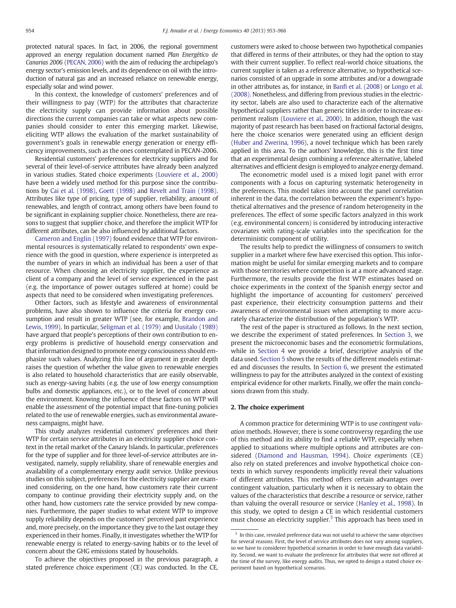protected natural spaces. In fact, in 2006, the regional government approved an energy regulation document named Plan Energético de Canarias 2006 [\(PECAN, 2006](#page--1-0)) with the aim of reducing the archipelago's energy sector's emission levels, and its dependence on oil with the introduction of natural gas and an increased reliance on renewable energy, especially solar and wind power.

In this context, the knowledge of customers' preferences and of their willingness to pay (WTP) for the attributes that characterize the electricity supply can provide information about possible directions the current companies can take or what aspects new companies should consider to enter this emerging market. Likewise, eliciting WTP allows the evaluation of the market sustainability of government's goals in renewable energy generation or energy efficiency improvements, such as the ones contemplated in PECAN-2006.

Residential customers' preferences for electricity suppliers and for several of their level-of-service attributes have already been analyzed in various studies. Stated choice experiments [\(Louviere et al., 2000](#page--1-0)) have been a widely used method for this purpose since the contributions by [Cai et al. \(1998\),](#page--1-0) [Goett \(1998\)](#page--1-0) and [Revelt and Train \(1998\).](#page--1-0) Attributes like type of pricing, type of supplier, reliability, amount of renewables, and length of contract, among others have been found to be significant in explaining supplier choice. Nonetheless, there are reasons to suggest that supplier choice, and therefore the implicit WTP for different attributes, can be also influenced by additional factors.

[Cameron and Englin \(1997\)](#page--1-0) found evidence that WTP for environmental resources is systematically related to respondents' own experience with the good in question, where experience is interpreted as the number of years in which an individual has been a user of that resource. When choosing an electricity supplier, the experience as client of a company and the level of service experienced in the past (e.g. the importance of power outages suffered at home) could be aspects that need to be considered when investigating preferences.

Other factors, such as lifestyle and awareness of environmental problems, have also shown to influence the criteria for energy consumption and result in greater WTP (see, for example, [Brandon and](#page--1-0) [Lewis, 1999\)](#page--1-0). In particular, [Seligman et al. \(1979\)](#page--1-0) and [Uusitalo \(1989\)](#page--1-0) have argued that people's perceptions of their own contribution to energy problems is predictive of household energy conservation and that information designed to promote energy consciousness should emphasize such values. Analyzing this line of argument in greater depth raises the question of whether the value given to renewable energies is also related to household characteristics that are easily observable, such as energy-saving habits (e.g. the use of low energy consumption bulbs and domestic appliances, etc.), or to the level of concern about the environment. Knowing the influence of these factors on WTP will enable the assessment of the potential impact that fine-tuning policies related to the use of renewable energies, such as environmental awareness campaigns, might have.

This study analyzes residential customers' preferences and their WTP for certain service attributes in an electricity supplier choice context in the retail market of the Canary Islands. In particular, preferences for the type of supplier and for three level-of-service attributes are investigated, namely, supply reliability, share of renewable energies and availability of a complementary energy audit service. Unlike previous studies on this subject, preferences for the electricity supplier are examined considering, on the one hand, how customers rate their current company to continue providing their electricity supply and, on the other hand, how customers rate the service provided by new companies. Furthermore, the paper studies to what extent WTP to improve supply reliability depends on the customers' perceived past experience and, more precisely, on the importance they give to the last outage they experienced in their homes. Finally, it investigates whether the WTP for renewable energy is related to energy-saving habits or to the level of concern about the GHG emissions stated by households.

To achieve the objectives proposed in the previous paragraph, a stated preference choice experiment (CE) was conducted. In the CE, customers were asked to choose between two hypothetical companies that differed in terms of their attributes, or they had the option to stay with their current supplier. To reflect real-world choice situations, the current supplier is taken as a reference alternative, so hypothetical scenarios consisted of an upgrade in some attributes and/or a downgrade in other attributes as, for instance, in Banfi [et al. \(2008\)](#page--1-0) or [Longo et al.](#page--1-0) [\(2008\)](#page--1-0). Nonetheless, and differing from previous studies in the electricity sector, labels are also used to characterize each of the alternative hypothetical suppliers rather than generic titles in order to increase experiment realism [\(Louviere et al., 2000](#page--1-0)). In addition, though the vast majority of past research has been based on fractional factorial designs, here the choice scenarios were generated using an efficient design [\(Huber and Zwerina, 1996](#page--1-0)), a novel technique which has been rarely applied in this area. To the authors' knowledge, this is the first time that an experimental design combining a reference alternative, labeled alternatives and efficient design is employed to analyze energy demand.

The econometric model used is a mixed logit panel with error components with a focus on capturing systematic heterogeneity in the preferences. This model takes into account the panel correlation inherent in the data, the correlation between the experiment's hypothetical alternatives and the presence of random heterogeneity in the preferences. The effect of some specific factors analyzed in this work (e.g. environmental concern) is considered by introducing interactive covariates with rating-scale variables into the specification for the deterministic component of utility.

The results help to predict the willingness of consumers to switch supplier in a market where few have exercised this option. This information might be useful for similar emerging markets and to compare with those territories where competition is at a more advanced stage. Furthermore, the results provide the first WTP estimates based on choice experiments in the context of the Spanish energy sector and highlight the importance of accounting for customers' perceived past experience, their electricity consumption patterns and their awareness of environmental issues when attempting to more accurately characterize the distribution of the population's WTP.

The rest of the paper is structured as follows. In the next section, we describe the experiment of stated preferences. In [Section 3,](#page--1-0) we present the microeconomic bases and the econometric formulations, while in [Section 4](#page--1-0) we provide a brief, descriptive analysis of the data used. [Section 5](#page--1-0) shows the results of the different models estimated and discusses the results. In [Section 6,](#page--1-0) we present the estimated willingness to pay for the attributes analyzed in the context of existing empirical evidence for other markets. Finally, we offer the main conclusions drawn from this study.

### 2. The choice experiment

A common practice for determining WTP is to use contingent valuation methods. However, there is some controversy regarding the use of this method and its ability to find a reliable WTP, especially when applied to situations where multiple options and attributes are considered ([Diamond and Hausman, 1994\)](#page--1-0). Choice experiments (CE) also rely on stated preferences and involve hypothetical choice contexts in which survey respondents implicitly reveal their valuations of different attributes. This method offers certain advantages over contingent valuation, particularly when it is necessary to obtain the values of the characteristics that describe a resource or service, rather than valuing the overall resource or service ([Hanley et al., 1998\)](#page--1-0). In this study, we opted to design a CE in which residential customers must choose an electricity supplier.<sup>3</sup> This approach has been used in

<sup>&</sup>lt;sup>3</sup> In this case, revealed preference data was not useful to achieve the same objectives for several reasons. First, the level of service attributes does not vary among suppliers, so we have to considerer hypothetical scenarios in order to have enough data variability. Second, we want to evaluate the preference for attributes that were not offered at the time of the survey, like energy audits. Thus, we opted to design a stated choice experiment based on hypothetical scenarios.